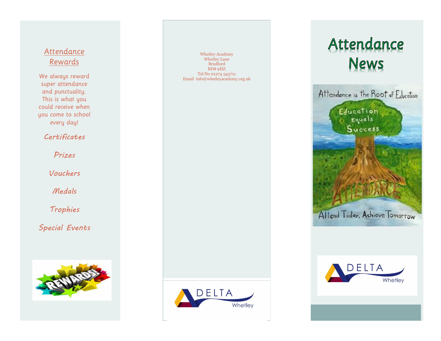### **Attendance** Rewards

We always reward super attendance and punctuality. This is what you could receive when you come to school every day!

### *Certificates*

*Prizes*

*Vouchers*

*Medals*

*Trophies*

*Special Events*



Whetley Academy Whetley Lane Bradford BD8 9HZ Tel No 01274 543711 Email info@whetleyacademy.org.uk



# Attendance News